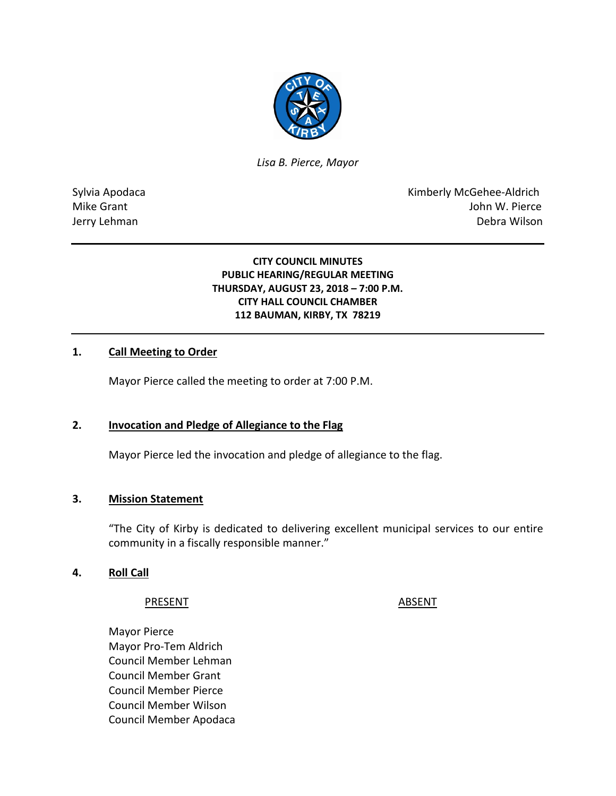

*Lisa B. Pierce, Mayor* 

Sylvia Apodaca **Kimberly McGehee-Aldrich** Mike Grant John W. Pierce Jerry Lehman Debra Wilson

## **CITY COUNCIL MINUTES PUBLIC HEARING/REGULAR MEETING THURSDAY, AUGUST 23, 2018 – 7:00 P.M. CITY HALL COUNCIL CHAMBER 112 BAUMAN, KIRBY, TX 78219**

## **1. Call Meeting to Order**

Mayor Pierce called the meeting to order at 7:00 P.M.

## **2. Invocation and Pledge of Allegiance to the Flag**

Mayor Pierce led the invocation and pledge of allegiance to the flag.

## **3. Mission Statement**

"The City of Kirby is dedicated to delivering excellent municipal services to our entire community in a fiscally responsible manner."

## **4. Roll Call**

## PRESENT ABSENT

Mayor Pierce Mayor Pro-Tem Aldrich Council Member Lehman Council Member Grant Council Member Pierce Council Member Wilson Council Member Apodaca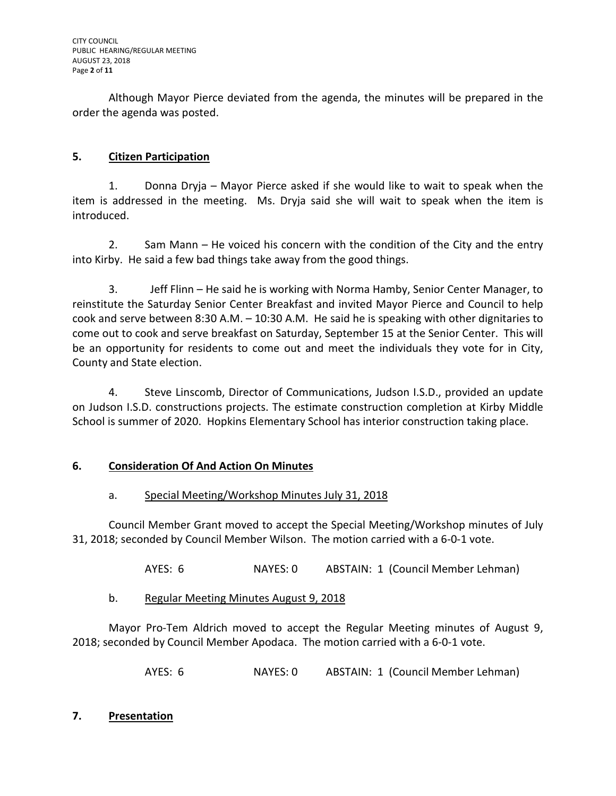Although Mayor Pierce deviated from the agenda, the minutes will be prepared in the order the agenda was posted.

# **5. Citizen Participation**

1. Donna Dryja – Mayor Pierce asked if she would like to wait to speak when the item is addressed in the meeting. Ms. Dryja said she will wait to speak when the item is introduced.

2. Sam Mann – He voiced his concern with the condition of the City and the entry into Kirby. He said a few bad things take away from the good things.

3. Jeff Flinn – He said he is working with Norma Hamby, Senior Center Manager, to reinstitute the Saturday Senior Center Breakfast and invited Mayor Pierce and Council to help cook and serve between 8:30 A.M. – 10:30 A.M. He said he is speaking with other dignitaries to come out to cook and serve breakfast on Saturday, September 15 at the Senior Center. This will be an opportunity for residents to come out and meet the individuals they vote for in City, County and State election.

4. Steve Linscomb, Director of Communications, Judson I.S.D., provided an update on Judson I.S.D. constructions projects. The estimate construction completion at Kirby Middle School is summer of 2020. Hopkins Elementary School has interior construction taking place.

# **6. Consideration Of And Action On Minutes**

# a. Special Meeting/Workshop Minutes July 31, 2018

Council Member Grant moved to accept the Special Meeting/Workshop minutes of July 31, 2018; seconded by Council Member Wilson. The motion carried with a 6-0-1 vote.

AYES: 6 NAYES: 0 ABSTAIN: 1 (Council Member Lehman)

b. Regular Meeting Minutes August 9, 2018

Mayor Pro-Tem Aldrich moved to accept the Regular Meeting minutes of August 9, 2018; seconded by Council Member Apodaca. The motion carried with a 6-0-1 vote.

AYES: 6 NAYES: 0 ABSTAIN: 1 (Council Member Lehman)

# **7. Presentation**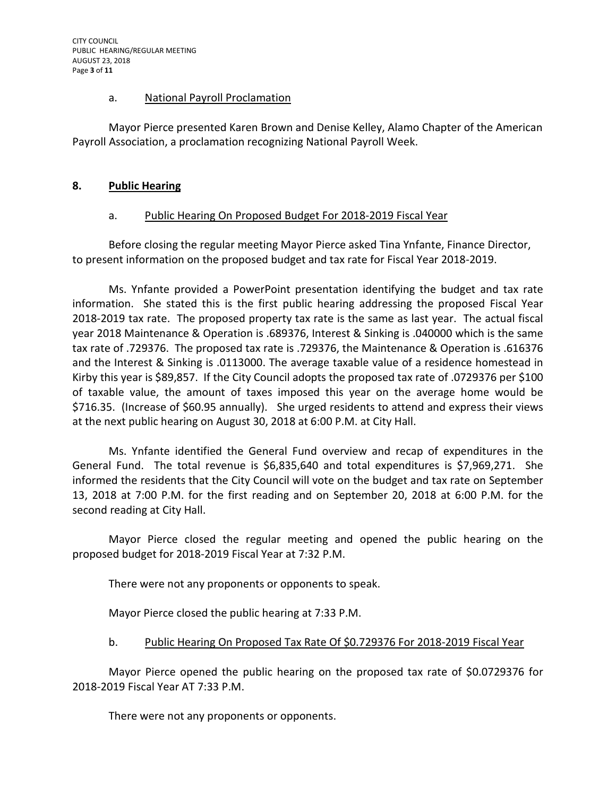#### a. National Payroll Proclamation

Mayor Pierce presented Karen Brown and Denise Kelley, Alamo Chapter of the American Payroll Association, a proclamation recognizing National Payroll Week.

## **8. Public Hearing**

## a. Public Hearing On Proposed Budget For 2018-2019 Fiscal Year

Before closing the regular meeting Mayor Pierce asked Tina Ynfante, Finance Director, to present information on the proposed budget and tax rate for Fiscal Year 2018-2019.

Ms. Ynfante provided a PowerPoint presentation identifying the budget and tax rate information. She stated this is the first public hearing addressing the proposed Fiscal Year 2018-2019 tax rate. The proposed property tax rate is the same as last year. The actual fiscal year 2018 Maintenance & Operation is .689376, Interest & Sinking is .040000 which is the same tax rate of .729376. The proposed tax rate is .729376, the Maintenance & Operation is .616376 and the Interest & Sinking is .0113000. The average taxable value of a residence homestead in Kirby this year is \$89,857. If the City Council adopts the proposed tax rate of .0729376 per \$100 of taxable value, the amount of taxes imposed this year on the average home would be \$716.35. (Increase of \$60.95 annually). She urged residents to attend and express their views at the next public hearing on August 30, 2018 at 6:00 P.M. at City Hall.

Ms. Ynfante identified the General Fund overview and recap of expenditures in the General Fund. The total revenue is \$6,835,640 and total expenditures is \$7,969,271. She informed the residents that the City Council will vote on the budget and tax rate on September 13, 2018 at 7:00 P.M. for the first reading and on September 20, 2018 at 6:00 P.M. for the second reading at City Hall.

Mayor Pierce closed the regular meeting and opened the public hearing on the proposed budget for 2018-2019 Fiscal Year at 7:32 P.M.

There were not any proponents or opponents to speak.

Mayor Pierce closed the public hearing at 7:33 P.M.

## b. Public Hearing On Proposed Tax Rate Of \$0.729376 For 2018-2019 Fiscal Year

Mayor Pierce opened the public hearing on the proposed tax rate of \$0.0729376 for 2018-2019 Fiscal Year AT 7:33 P.M.

There were not any proponents or opponents.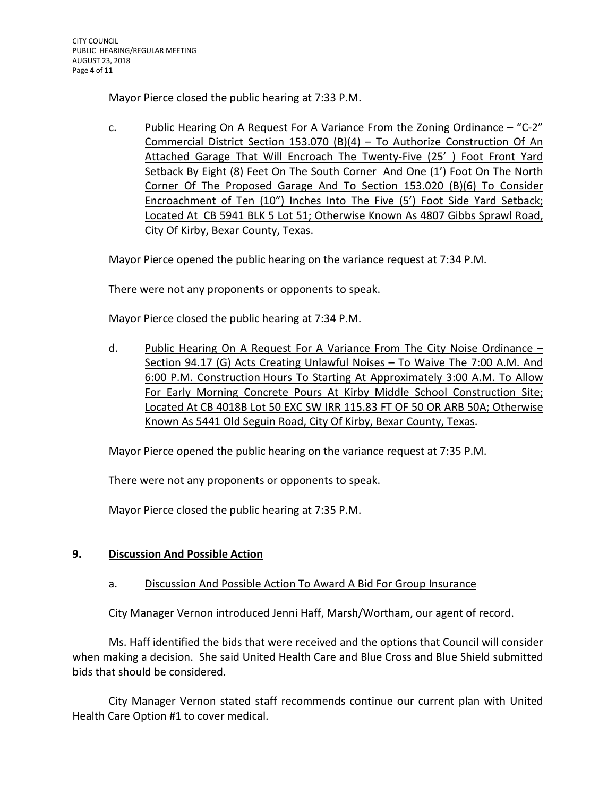Mayor Pierce closed the public hearing at 7:33 P.M.

c. Public Hearing On A Request For A Variance From the Zoning Ordinance  $-$  "C-2" Commercial District Section 153.070 (B)(4) – To Authorize Construction Of An Attached Garage That Will Encroach The Twenty-Five (25' ) Foot Front Yard Setback By Eight (8) Feet On The South Corner And One (1') Foot On The North Corner Of The Proposed Garage And To Section 153.020 (B)(6) To Consider Encroachment of Ten (10") Inches Into The Five (5') Foot Side Yard Setback; Located At CB 5941 BLK 5 Lot 51; Otherwise Known As 4807 Gibbs Sprawl Road, City Of Kirby, Bexar County, Texas.

Mayor Pierce opened the public hearing on the variance request at 7:34 P.M.

There were not any proponents or opponents to speak.

Mayor Pierce closed the public hearing at 7:34 P.M.

d. Public Hearing On A Request For A Variance From The City Noise Ordinance -Section 94.17 (G) Acts Creating Unlawful Noises – To Waive The 7:00 A.M. And 6:00 P.M. Construction Hours To Starting At Approximately 3:00 A.M. To Allow For Early Morning Concrete Pours At Kirby Middle School Construction Site; Located At CB 4018B Lot 50 EXC SW IRR 115.83 FT OF 50 OR ARB 50A; Otherwise Known As 5441 Old Seguin Road, City Of Kirby, Bexar County, Texas.

Mayor Pierce opened the public hearing on the variance request at 7:35 P.M.

There were not any proponents or opponents to speak.

Mayor Pierce closed the public hearing at 7:35 P.M.

# **9. Discussion And Possible Action**

# a. Discussion And Possible Action To Award A Bid For Group Insurance

City Manager Vernon introduced Jenni Haff, Marsh/Wortham, our agent of record.

Ms. Haff identified the bids that were received and the options that Council will consider when making a decision. She said United Health Care and Blue Cross and Blue Shield submitted bids that should be considered.

City Manager Vernon stated staff recommends continue our current plan with United Health Care Option #1 to cover medical.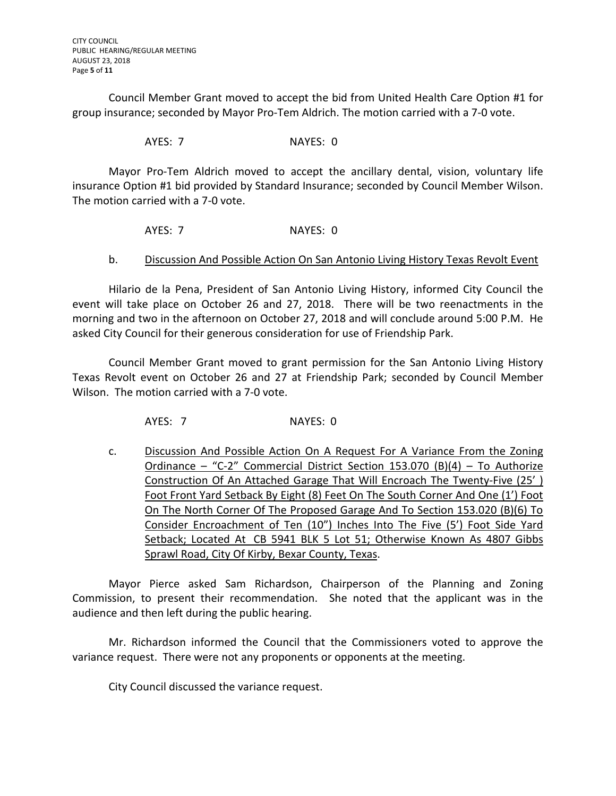Council Member Grant moved to accept the bid from United Health Care Option #1 for group insurance; seconded by Mayor Pro-Tem Aldrich. The motion carried with a 7-0 vote.

AYES: 7 NAYES: 0

Mayor Pro-Tem Aldrich moved to accept the ancillary dental, vision, voluntary life insurance Option #1 bid provided by Standard Insurance; seconded by Council Member Wilson. The motion carried with a 7-0 vote.

AYES: 7 NAYES: 0

## b. Discussion And Possible Action On San Antonio Living History Texas Revolt Event

Hilario de la Pena, President of San Antonio Living History, informed City Council the event will take place on October 26 and 27, 2018. There will be two reenactments in the morning and two in the afternoon on October 27, 2018 and will conclude around 5:00 P.M. He asked City Council for their generous consideration for use of Friendship Park.

Council Member Grant moved to grant permission for the San Antonio Living History Texas Revolt event on October 26 and 27 at Friendship Park; seconded by Council Member Wilson. The motion carried with a 7-0 vote.

AYES: 7 NAYES: 0

c. Discussion And Possible Action On A Request For A Variance From the Zoning Ordinance – "C-2" Commercial District Section 153.070 (B)(4) – To Authorize Construction Of An Attached Garage That Will Encroach The Twenty-Five (25' ) Foot Front Yard Setback By Eight (8) Feet On The South Corner And One (1') Foot On The North Corner Of The Proposed Garage And To Section 153.020 (B)(6) To Consider Encroachment of Ten (10") Inches Into The Five (5') Foot Side Yard Setback; Located At CB 5941 BLK 5 Lot 51; Otherwise Known As 4807 Gibbs Sprawl Road, City Of Kirby, Bexar County, Texas.

Mayor Pierce asked Sam Richardson, Chairperson of the Planning and Zoning Commission, to present their recommendation. She noted that the applicant was in the audience and then left during the public hearing.

Mr. Richardson informed the Council that the Commissioners voted to approve the variance request. There were not any proponents or opponents at the meeting.

City Council discussed the variance request.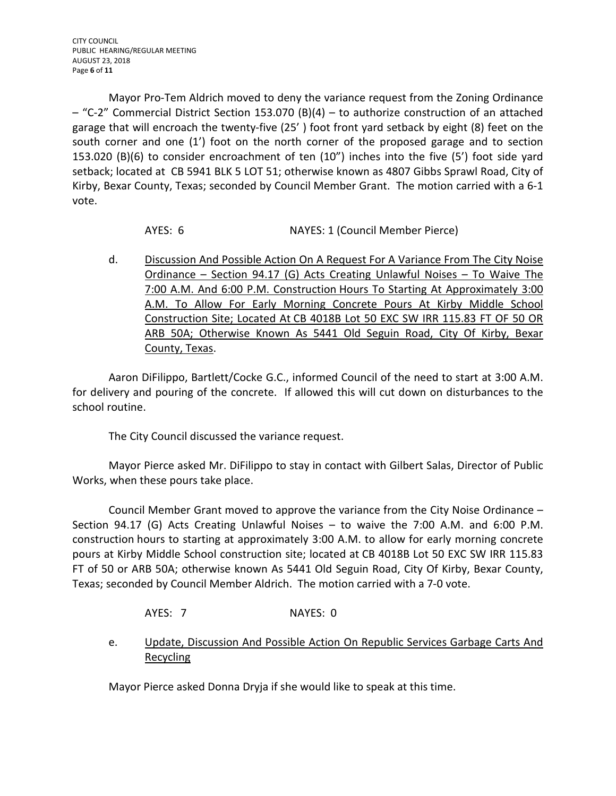Mayor Pro-Tem Aldrich moved to deny the variance request from the Zoning Ordinance – "C-2" Commercial District Section 153.070 (B)(4) – to authorize construction of an attached garage that will encroach the twenty-five (25' ) foot front yard setback by eight (8) feet on the south corner and one (1') foot on the north corner of the proposed garage and to section 153.020 (B)(6) to consider encroachment of ten (10") inches into the five (5') foot side yard setback; located at CB 5941 BLK 5 LOT 51; otherwise known as 4807 Gibbs Sprawl Road, City of Kirby, Bexar County, Texas; seconded by Council Member Grant. The motion carried with a 6-1 vote.

AYES: 6 NAYES: 1 (Council Member Pierce)

d. Discussion And Possible Action On A Request For A Variance From The City Noise Ordinance – Section 94.17 (G) Acts Creating Unlawful Noises – To Waive The 7:00 A.M. And 6:00 P.M. Construction Hours To Starting At Approximately 3:00 A.M. To Allow For Early Morning Concrete Pours At Kirby Middle School Construction Site; Located At CB 4018B Lot 50 EXC SW IRR 115.83 FT OF 50 OR ARB 50A; Otherwise Known As 5441 Old Seguin Road, City Of Kirby, Bexar County, Texas.

Aaron DiFilippo, Bartlett/Cocke G.C., informed Council of the need to start at 3:00 A.M. for delivery and pouring of the concrete. If allowed this will cut down on disturbances to the school routine.

The City Council discussed the variance request.

Mayor Pierce asked Mr. DiFilippo to stay in contact with Gilbert Salas, Director of Public Works, when these pours take place.

Council Member Grant moved to approve the variance from the City Noise Ordinance – Section 94.17 (G) Acts Creating Unlawful Noises – to waive the 7:00 A.M. and 6:00 P.M. construction hours to starting at approximately 3:00 A.M. to allow for early morning concrete pours at Kirby Middle School construction site; located at CB 4018B Lot 50 EXC SW IRR 115.83 FT of 50 or ARB 50A; otherwise known As 5441 Old Seguin Road, City Of Kirby, Bexar County, Texas; seconded by Council Member Aldrich. The motion carried with a 7-0 vote.

- AYES: 7 NAYES: 0
- e. Update, Discussion And Possible Action On Republic Services Garbage Carts And **Recycling**

Mayor Pierce asked Donna Dryja if she would like to speak at this time.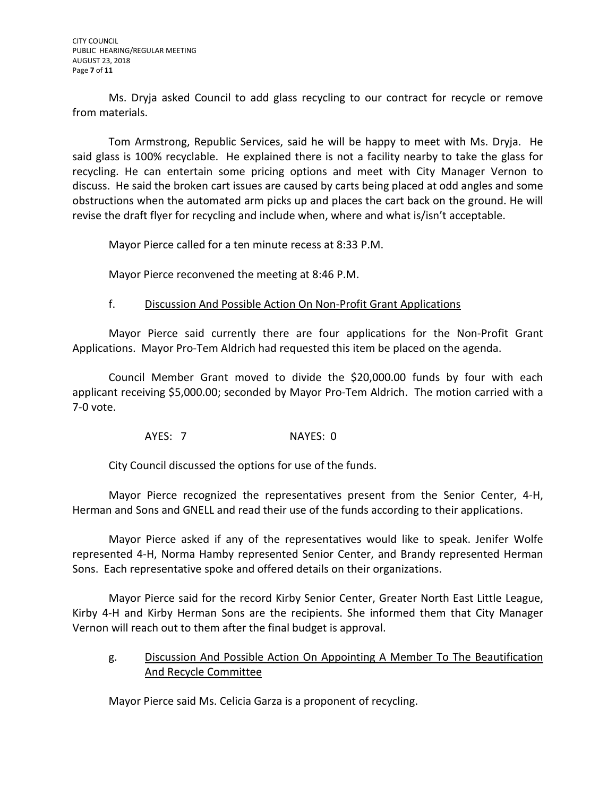Ms. Dryja asked Council to add glass recycling to our contract for recycle or remove from materials.

Tom Armstrong, Republic Services, said he will be happy to meet with Ms. Dryja. He said glass is 100% recyclable. He explained there is not a facility nearby to take the glass for recycling. He can entertain some pricing options and meet with City Manager Vernon to discuss. He said the broken cart issues are caused by carts being placed at odd angles and some obstructions when the automated arm picks up and places the cart back on the ground. He will revise the draft flyer for recycling and include when, where and what is/isn't acceptable.

Mayor Pierce called for a ten minute recess at 8:33 P.M.

Mayor Pierce reconvened the meeting at 8:46 P.M.

## f. Discussion And Possible Action On Non-Profit Grant Applications

Mayor Pierce said currently there are four applications for the Non-Profit Grant Applications. Mayor Pro-Tem Aldrich had requested this item be placed on the agenda.

Council Member Grant moved to divide the \$20,000.00 funds by four with each applicant receiving \$5,000.00; seconded by Mayor Pro-Tem Aldrich. The motion carried with a 7-0 vote.

AYES: 7 NAYES: 0

City Council discussed the options for use of the funds.

Mayor Pierce recognized the representatives present from the Senior Center, 4-H, Herman and Sons and GNELL and read their use of the funds according to their applications.

Mayor Pierce asked if any of the representatives would like to speak. Jenifer Wolfe represented 4-H, Norma Hamby represented Senior Center, and Brandy represented Herman Sons. Each representative spoke and offered details on their organizations.

Mayor Pierce said for the record Kirby Senior Center, Greater North East Little League, Kirby 4-H and Kirby Herman Sons are the recipients. She informed them that City Manager Vernon will reach out to them after the final budget is approval.

g. Discussion And Possible Action On Appointing A Member To The Beautification And Recycle Committee

Mayor Pierce said Ms. Celicia Garza is a proponent of recycling.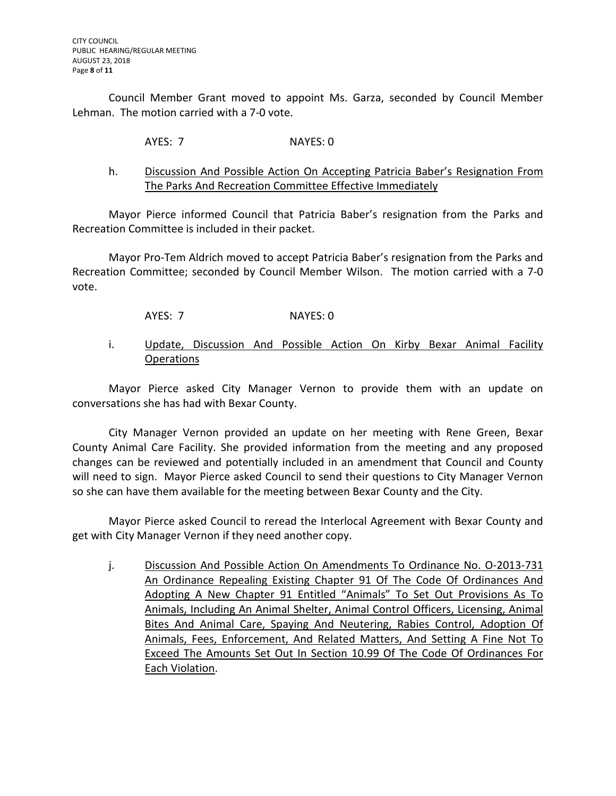Council Member Grant moved to appoint Ms. Garza, seconded by Council Member Lehman. The motion carried with a 7-0 vote.

AYES: 7 NAYES: 0

## h. Discussion And Possible Action On Accepting Patricia Baber's Resignation From The Parks And Recreation Committee Effective Immediately

Mayor Pierce informed Council that Patricia Baber's resignation from the Parks and Recreation Committee is included in their packet.

Mayor Pro-Tem Aldrich moved to accept Patricia Baber's resignation from the Parks and Recreation Committee; seconded by Council Member Wilson. The motion carried with a 7-0 vote.

- AYES: 7 NAYES: 0
- i. Update, Discussion And Possible Action On Kirby Bexar Animal Facility **Operations**

Mayor Pierce asked City Manager Vernon to provide them with an update on conversations she has had with Bexar County.

City Manager Vernon provided an update on her meeting with Rene Green, Bexar County Animal Care Facility. She provided information from the meeting and any proposed changes can be reviewed and potentially included in an amendment that Council and County will need to sign. Mayor Pierce asked Council to send their questions to City Manager Vernon so she can have them available for the meeting between Bexar County and the City.

Mayor Pierce asked Council to reread the Interlocal Agreement with Bexar County and get with City Manager Vernon if they need another copy.

j. Discussion And Possible Action On Amendments To Ordinance No. 0-2013-731 An Ordinance Repealing Existing Chapter 91 Of The Code Of Ordinances And Adopting A New Chapter 91 Entitled "Animals" To Set Out Provisions As To Animals, Including An Animal Shelter, Animal Control Officers, Licensing, Animal Bites And Animal Care, Spaying And Neutering, Rabies Control, Adoption Of Animals, Fees, Enforcement, And Related Matters, And Setting A Fine Not To Exceed The Amounts Set Out In Section 10.99 Of The Code Of Ordinances For Each Violation.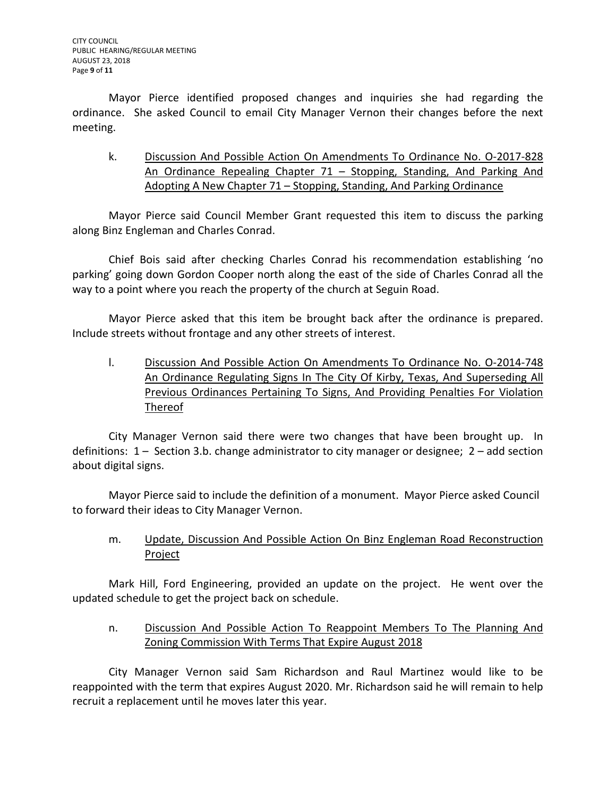Mayor Pierce identified proposed changes and inquiries she had regarding the ordinance. She asked Council to email City Manager Vernon their changes before the next meeting.

k. Discussion And Possible Action On Amendments To Ordinance No. O-2017-828 An Ordinance Repealing Chapter 71 – Stopping, Standing, And Parking And Adopting A New Chapter 71 – Stopping, Standing, And Parking Ordinance

Mayor Pierce said Council Member Grant requested this item to discuss the parking along Binz Engleman and Charles Conrad.

Chief Bois said after checking Charles Conrad his recommendation establishing 'no parking' going down Gordon Cooper north along the east of the side of Charles Conrad all the way to a point where you reach the property of the church at Seguin Road.

Mayor Pierce asked that this item be brought back after the ordinance is prepared. Include streets without frontage and any other streets of interest.

l. Discussion And Possible Action On Amendments To Ordinance No. O-2014-748 An Ordinance Regulating Signs In The City Of Kirby, Texas, And Superseding All Previous Ordinances Pertaining To Signs, And Providing Penalties For Violation Thereof

City Manager Vernon said there were two changes that have been brought up. In definitions: 1 – Section 3.b. change administrator to city manager or designee; 2 – add section about digital signs.

Mayor Pierce said to include the definition of a monument. Mayor Pierce asked Council to forward their ideas to City Manager Vernon.

m. Update, Discussion And Possible Action On Binz Engleman Road Reconstruction Project

Mark Hill, Ford Engineering, provided an update on the project. He went over the updated schedule to get the project back on schedule.

n. Discussion And Possible Action To Reappoint Members To The Planning And Zoning Commission With Terms That Expire August 2018

City Manager Vernon said Sam Richardson and Raul Martinez would like to be reappointed with the term that expires August 2020. Mr. Richardson said he will remain to help recruit a replacement until he moves later this year.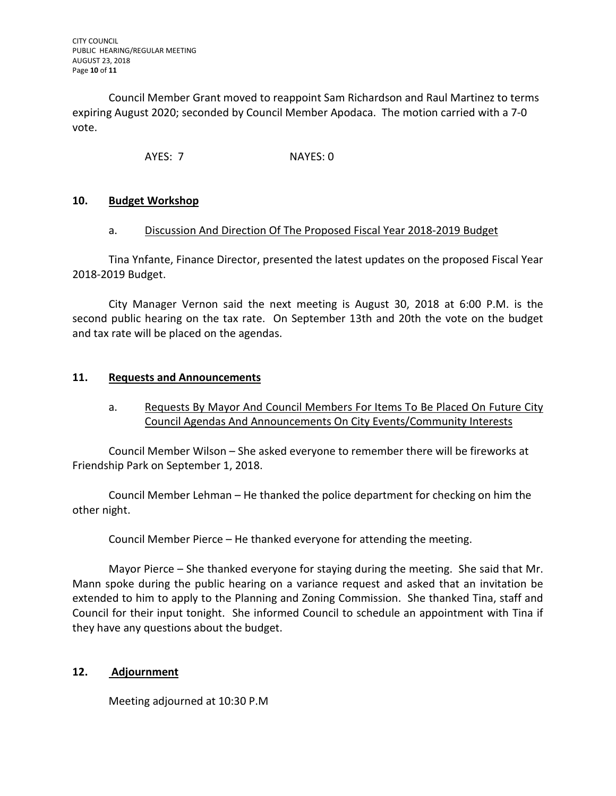Council Member Grant moved to reappoint Sam Richardson and Raul Martinez to terms expiring August 2020; seconded by Council Member Apodaca. The motion carried with a 7-0 vote.

AYES: 7 NAYES: 0

## **10. Budget Workshop**

#### a. Discussion And Direction Of The Proposed Fiscal Year 2018-2019 Budget

Tina Ynfante, Finance Director, presented the latest updates on the proposed Fiscal Year 2018-2019 Budget.

City Manager Vernon said the next meeting is August 30, 2018 at 6:00 P.M. is the second public hearing on the tax rate. On September 13th and 20th the vote on the budget and tax rate will be placed on the agendas.

## **11. Requests and Announcements**

a. Requests By Mayor And Council Members For Items To Be Placed On Future City Council Agendas And Announcements On City Events/Community Interests

Council Member Wilson – She asked everyone to remember there will be fireworks at Friendship Park on September 1, 2018.

Council Member Lehman – He thanked the police department for checking on him the other night.

Council Member Pierce – He thanked everyone for attending the meeting.

Mayor Pierce – She thanked everyone for staying during the meeting. She said that Mr. Mann spoke during the public hearing on a variance request and asked that an invitation be extended to him to apply to the Planning and Zoning Commission. She thanked Tina, staff and Council for their input tonight. She informed Council to schedule an appointment with Tina if they have any questions about the budget.

## **12. Adjournment**

Meeting adjourned at 10:30 P.M